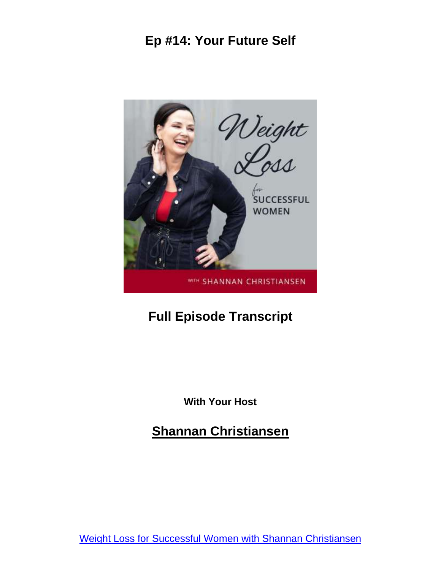

#### **Full Episode Transcript**

**With Your Host**

**Shannan Christiansen**

Weight Loss for Successful Women with Shannan [Christiansen](https://bflycoaching.com/podcast)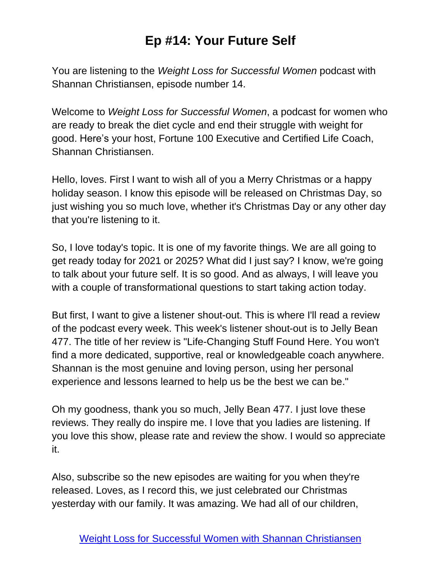You are listening to the *Weight Loss for Successful Women* podcast with Shannan Christiansen, episode number 14.

Welcome to *Weight Loss for Successful Women*, a podcast for women who are ready to break the diet cycle and end their struggle with weight for good. Here's your host, Fortune 100 Executive and Certified Life Coach, Shannan Christiansen.

Hello, loves. First I want to wish all of you a Merry Christmas or a happy holiday season. I know this episode will be released on Christmas Day, so just wishing you so much love, whether it's Christmas Day or any other day that you're listening to it.

So, I love today's topic. It is one of my favorite things. We are all going to get ready today for 2021 or 2025? What did I just say? I know, we're going to talk about your future self. It is so good. And as always, I will leave you with a couple of transformational questions to start taking action today.

But first, I want to give a listener shout-out. This is where I'll read a review of the podcast every week. This week's listener shout-out is to Jelly Bean 477. The title of her review is "Life-Changing Stuff Found Here. You won't find a more dedicated, supportive, real or knowledgeable coach anywhere. Shannan is the most genuine and loving person, using her personal experience and lessons learned to help us be the best we can be."

Oh my goodness, thank you so much, Jelly Bean 477. I just love these reviews. They really do inspire me. I love that you ladies are listening. If you love this show, please rate and review the show. I would so appreciate it.

Also, subscribe so the new episodes are waiting for you when they're released. Loves, as I record this, we just celebrated our Christmas yesterday with our family. It was amazing. We had all of our children,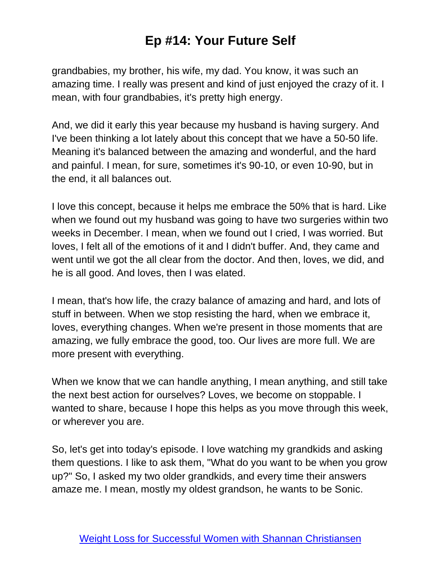grandbabies, my brother, his wife, my dad. You know, it was such an amazing time. I really was present and kind of just enjoyed the crazy of it. I mean, with four grandbabies, it's pretty high energy.

And, we did it early this year because my husband is having surgery. And I've been thinking a lot lately about this concept that we have a 50-50 life. Meaning it's balanced between the amazing and wonderful, and the hard and painful. I mean, for sure, sometimes it's 90-10, or even 10-90, but in the end, it all balances out.

I love this concept, because it helps me embrace the 50% that is hard. Like when we found out my husband was going to have two surgeries within two weeks in December. I mean, when we found out I cried, I was worried. But loves, I felt all of the emotions of it and I didn't buffer. And, they came and went until we got the all clear from the doctor. And then, loves, we did, and he is all good. And loves, then I was elated.

I mean, that's how life, the crazy balance of amazing and hard, and lots of stuff in between. When we stop resisting the hard, when we embrace it, loves, everything changes. When we're present in those moments that are amazing, we fully embrace the good, too. Our lives are more full. We are more present with everything.

When we know that we can handle anything, I mean anything, and still take the next best action for ourselves? Loves, we become on stoppable. I wanted to share, because I hope this helps as you move through this week, or wherever you are.

So, let's get into today's episode. I love watching my grandkids and asking them questions. I like to ask them, "What do you want to be when you grow up?" So, I asked my two older grandkids, and every time their answers amaze me. I mean, mostly my oldest grandson, he wants to be Sonic.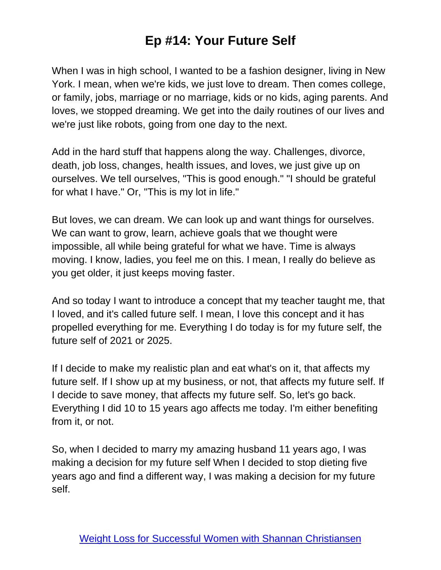When I was in high school, I wanted to be a fashion designer, living in New York. I mean, when we're kids, we just love to dream. Then comes college, or family, jobs, marriage or no marriage, kids or no kids, aging parents. And loves, we stopped dreaming. We get into the daily routines of our lives and we're just like robots, going from one day to the next.

Add in the hard stuff that happens along the way. Challenges, divorce, death, job loss, changes, health issues, and loves, we just give up on ourselves. We tell ourselves, "This is good enough." "I should be grateful for what I have." Or, "This is my lot in life."

But loves, we can dream. We can look up and want things for ourselves. We can want to grow, learn, achieve goals that we thought were impossible, all while being grateful for what we have. Time is always moving. I know, ladies, you feel me on this. I mean, I really do believe as you get older, it just keeps moving faster.

And so today I want to introduce a concept that my teacher taught me, that I loved, and it's called future self. I mean, I love this concept and it has propelled everything for me. Everything I do today is for my future self, the future self of 2021 or 2025.

If I decide to make my realistic plan and eat what's on it, that affects my future self. If I show up at my business, or not, that affects my future self. If I decide to save money, that affects my future self. So, let's go back. Everything I did 10 to 15 years ago affects me today. I'm either benefiting from it, or not.

So, when I decided to marry my amazing husband 11 years ago, I was making a decision for my future self When I decided to stop dieting five years ago and find a different way, I was making a decision for my future self.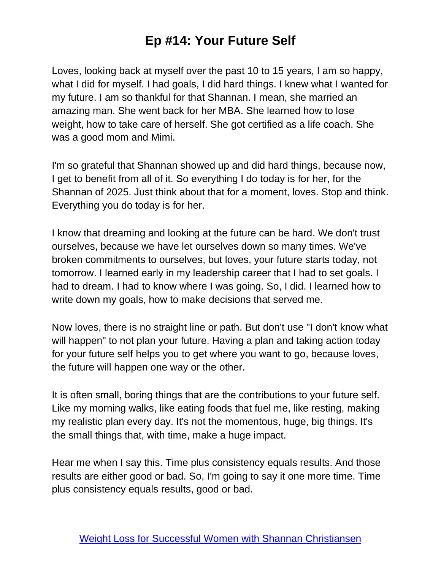Loves, looking back at myself over the past 10 to 15 years, I am so happy, what I did for myself. I had goals, I did hard things. I knew what I wanted for my future. I am so thankful for that Shannan. I mean, she married an amazing man. She went back for her MBA. She learned how to lose weight, how to take care of herself. She got certified as a life coach. She was a good mom and Mimi.

I'm so grateful that Shannan showed up and did hard things, because now, I get to benefit from all of it. So everything I do today is for her, for the Shannan of 2025. Just think about that for a moment, loves. Stop and think. Everything you do today is for her.

I know that dreaming and looking at the future can be hard. We don't trust ourselves, because we have let ourselves down so many times. We've broken commitments to ourselves, but loves, your future starts today, not tomorrow. I learned early in my leadership career that I had to set goals. I had to dream. I had to know where I was going. So, I did. I learned how to write down my goals, how to make decisions that served me.

Now loves, there is no straight line or path. But don't use "I don't know what will happen" to not plan your future. Having a plan and taking action today for your future self helps you to get where you want to go, because loves, the future will happen one way or the other.

It is often small, boring things that are the contributions to your future self. Like my morning walks, like eating foods that fuel me, like resting, making my realistic plan every day. It's not the momentous, huge, big things. It's the small things that, with time, make a huge impact.

Hear me when I say this. Time plus consistency equals results. And those results are either good or bad. So, I'm going to say it one more time. Time plus consistency equals results, good or bad.